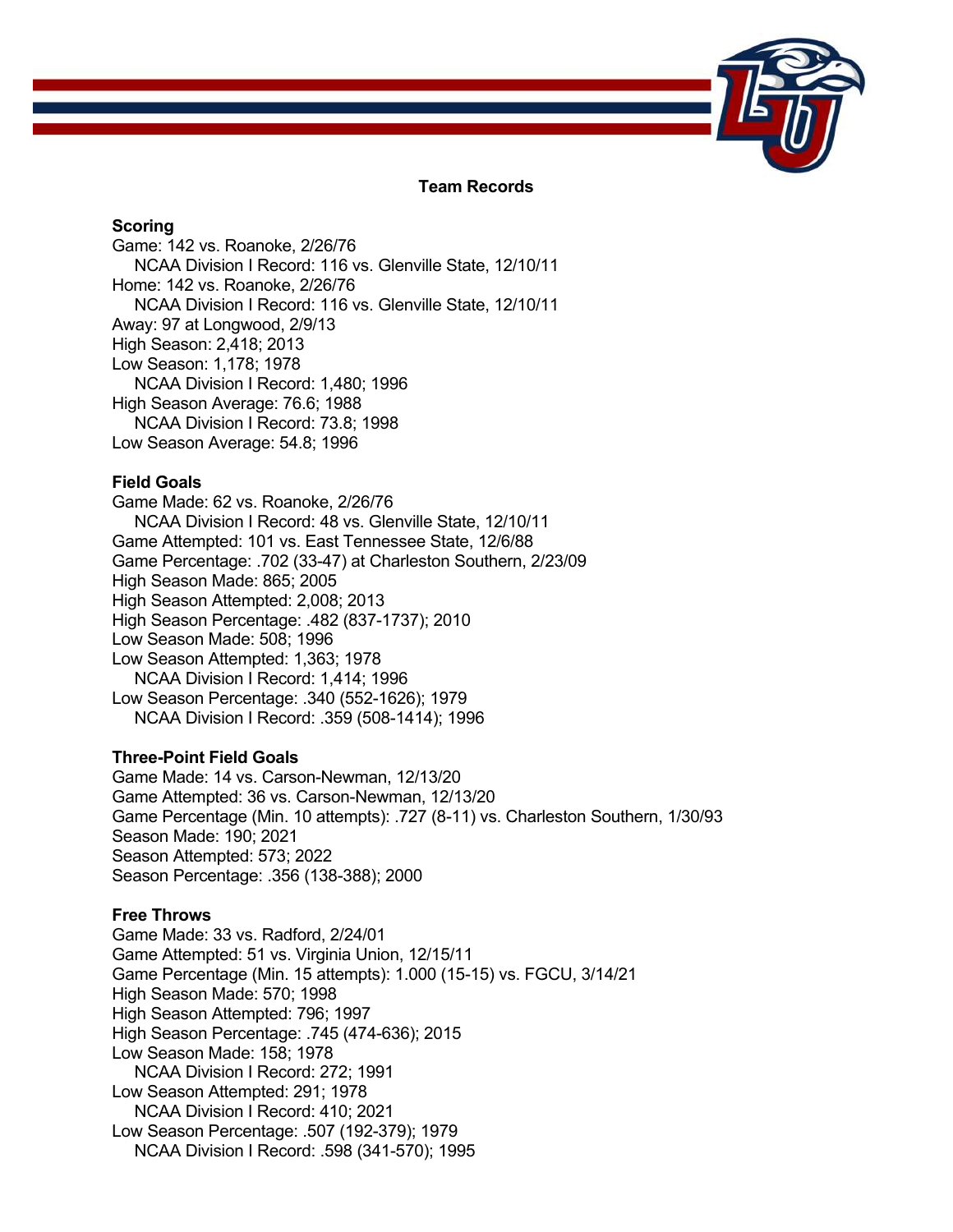

## **Team Records**

## **Scoring**

Game: 142 vs. Roanoke, 2/26/76 NCAA Division I Record: 116 vs. Glenville State, 12/10/11 Home: 142 vs. Roanoke, 2/26/76 NCAA Division I Record: 116 vs. Glenville State, 12/10/11 Away: 97 at Longwood, 2/9/13 High Season: 2,418; 2013 Low Season: 1,178; 1978 NCAA Division I Record: 1,480; 1996 High Season Average: 76.6; 1988 NCAA Division I Record: 73.8; 1998 Low Season Average: 54.8; 1996

## **Field Goals**

Game Made: 62 vs. Roanoke, 2/26/76 NCAA Division I Record: 48 vs. Glenville State, 12/10/11 Game Attempted: 101 vs. East Tennessee State, 12/6/88 Game Percentage: .702 (33-47) at Charleston Southern, 2/23/09 High Season Made: 865; 2005 High Season Attempted: 2,008; 2013 High Season Percentage: .482 (837-1737); 2010 Low Season Made: 508; 1996 Low Season Attempted: 1,363; 1978 NCAA Division I Record: 1,414; 1996 Low Season Percentage: .340 (552-1626); 1979 NCAA Division I Record: .359 (508-1414); 1996

## **Three-Point Field Goals**

Game Made: 14 vs. Carson-Newman, 12/13/20 Game Attempted: 36 vs. Carson-Newman, 12/13/20 Game Percentage (Min. 10 attempts): .727 (8-11) vs. Charleston Southern, 1/30/93 Season Made: 190; 2021 Season Attempted: 573; 2022 Season Percentage: .356 (138-388); 2000

# **Free Throws**

Game Made: 33 vs. Radford, 2/24/01 Game Attempted: 51 vs. Virginia Union, 12/15/11 Game Percentage (Min. 15 attempts): 1.000 (15-15) vs. FGCU, 3/14/21 High Season Made: 570; 1998 High Season Attempted: 796; 1997 High Season Percentage: .745 (474-636); 2015 Low Season Made: 158; 1978 NCAA Division I Record: 272; 1991 Low Season Attempted: 291; 1978 NCAA Division I Record: 410; 2021 Low Season Percentage: .507 (192-379); 1979 NCAA Division I Record: .598 (341-570); 1995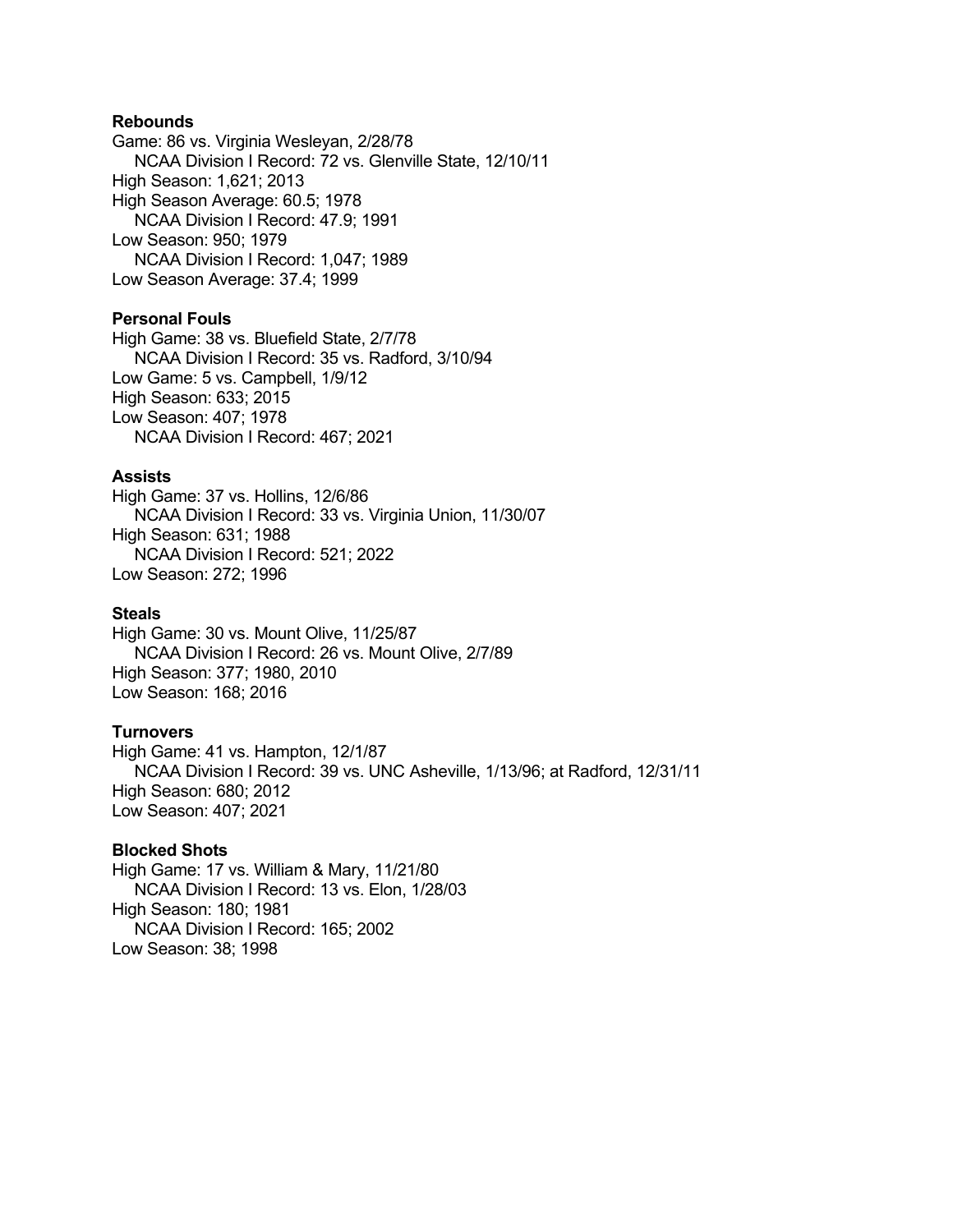## **Rebounds**

Game: 86 vs. Virginia Wesleyan, 2/28/78 NCAA Division I Record: 72 vs. Glenville State, 12/10/11 High Season: 1,621; 2013 High Season Average: 60.5; 1978 NCAA Division I Record: 47.9; 1991 Low Season: 950; 1979 NCAA Division I Record: 1,047; 1989 Low Season Average: 37.4; 1999

## **Personal Fouls**

High Game: 38 vs. Bluefield State, 2/7/78 NCAA Division I Record: 35 vs. Radford, 3/10/94 Low Game: 5 vs. Campbell, 1/9/12 High Season: 633; 2015 Low Season: 407; 1978 NCAA Division I Record: 467; 2021

#### **Assists**

High Game: 37 vs. Hollins, 12/6/86 NCAA Division I Record: 33 vs. Virginia Union, 11/30/07 High Season: 631; 1988 NCAA Division I Record: 521; 2022 Low Season: 272; 1996

### **Steals**

High Game: 30 vs. Mount Olive, 11/25/87 NCAA Division I Record: 26 vs. Mount Olive, 2/7/89 High Season: 377; 1980, 2010 Low Season: 168; 2016

#### **Turnovers**

High Game: 41 vs. Hampton, 12/1/87 NCAA Division I Record: 39 vs. UNC Asheville, 1/13/96; at Radford, 12/31/11 High Season: 680; 2012 Low Season: 407; 2021

#### **Blocked Shots**

High Game: 17 vs. William & Mary, 11/21/80 NCAA Division I Record: 13 vs. Elon, 1/28/03 High Season: 180; 1981 NCAA Division I Record: 165; 2002 Low Season: 38; 1998